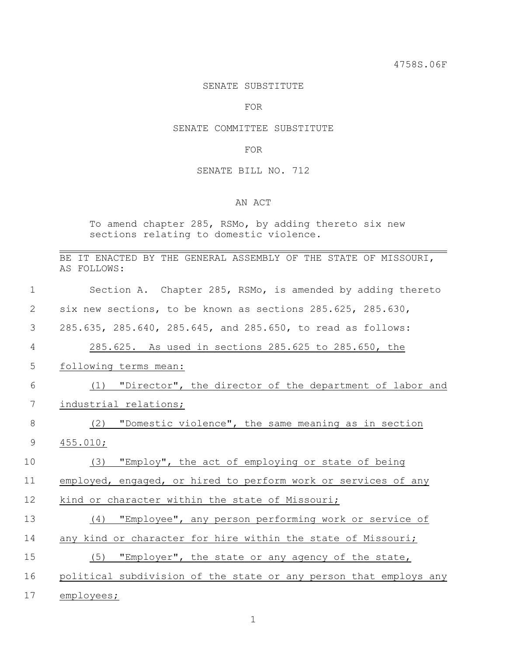4758S.06F

#### SENATE SUBSTITUTE

#### FOR

#### SENATE COMMITTEE SUBSTITUTE

#### FOR

## SENATE BILL NO. 712

### AN ACT

To amend chapter 285, RSMo, by adding thereto six new sections relating to domestic violence.

|    | BE IT ENACTED BY THE GENERAL ASSEMBLY OF THE STATE OF MISSOURI,<br>AS FOLLOWS: |
|----|--------------------------------------------------------------------------------|
| 1  | Section A. Chapter 285, RSMo, is amended by adding thereto                     |
| 2  | six new sections, to be known as sections 285.625, 285.630,                    |
| 3  | 285.635, 285.640, 285.645, and 285.650, to read as follows:                    |
| 4  | 285.625. As used in sections 285.625 to 285.650, the                           |
| 5  | following terms mean:                                                          |
| 6  | "Director", the director of the department of labor and<br>(1)                 |
| 7  | industrial relations;                                                          |
| 8  | "Domestic violence", the same meaning as in section<br>(2)                     |
| 9  | 455.010;                                                                       |
| 10 | "Employ", the act of employing or state of being<br>(3)                        |
| 11 | employed, engaged, or hired to perform work or services of any                 |
| 12 | kind or character within the state of Missouri;                                |
| 13 | "Employee", any person performing work or service of<br>(4)                    |
| 14 | any kind or character for hire within the state of Missouri;                   |
| 15 | (5)<br>"Employer", the state or any agency of the state,                       |
| 16 | political subdivision of the state or any person that employs any              |
| 17 | employees;                                                                     |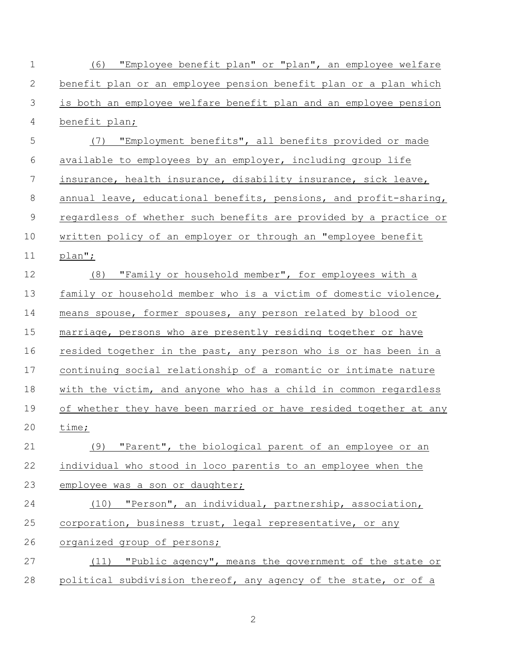| $\mathbf 1$  | (6) "Employee benefit plan" or "plan", an employee welfare        |
|--------------|-------------------------------------------------------------------|
| $\mathbf{2}$ | benefit plan or an employee pension benefit plan or a plan which  |
| 3            | is both an employee welfare benefit plan and an employee pension  |
| 4            | benefit plan;                                                     |
| 5            | (7) "Employment benefits", all benefits provided or made          |
| 6            | available to employees by an employer, including group life       |
| 7            | insurance, health insurance, disability insurance, sick leave,    |
| $8\,$        | annual leave, educational benefits, pensions, and profit-sharing, |
| $\mathsf 9$  | regardless of whether such benefits are provided by a practice or |
| 10           | written policy of an employer or through an "employee benefit     |
| 11           | plan";                                                            |
| 12           | (8) "Family or household member", for employees with a            |
| 13           | family or household member who is a victim of domestic violence,  |
| 14           | means spouse, former spouses, any person related by blood or      |
| 15           | marriage, persons who are presently residing together or have     |
| 16           | resided together in the past, any person who is or has been in a  |
| 17           | continuing social relationship of a romantic or intimate nature   |
| 18           | with the victim, and anyone who has a child in common regardless  |
| 19           | of whether they have been married or have resided together at any |
| 20           | time;                                                             |
| 21           | (9) "Parent", the biological parent of an employee or an          |
| 22           | individual who stood in loco parentis to an employee when the     |
| 23           | employee was a son or daughter;                                   |
| 24           | (10) "Person", an individual, partnership, association,           |
| 25           | corporation, business trust, legal representative, or any         |
| 26           | organized group of persons;                                       |
| 27           | (11) "Public agency", means the government of the state or        |
| 28           | political subdivision thereof, any agency of the state, or of a   |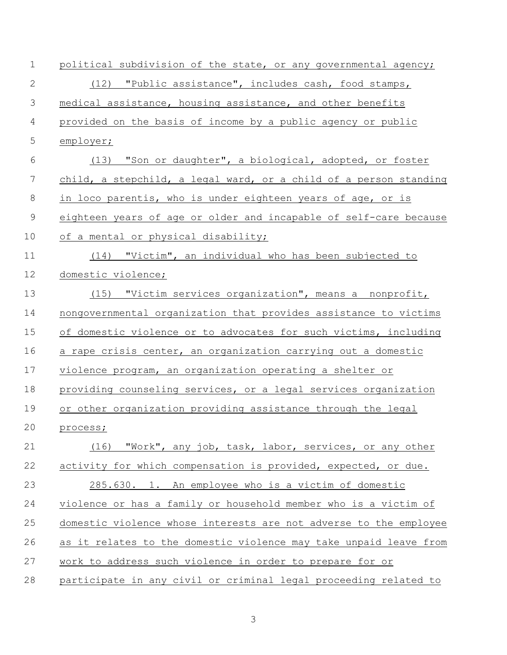| $\mathbf 1$ | political subdivision of the state, or any governmental agency;   |
|-------------|-------------------------------------------------------------------|
| $\mathbf 2$ | (12) "Public assistance", includes cash, food stamps,             |
| 3           | medical assistance, housing assistance, and other benefits        |
| 4           | provided on the basis of income by a public agency or public      |
| 5           | employer;                                                         |
| 6           | (13) "Son or daughter", a biological, adopted, or foster          |
| 7           | child, a stepchild, a legal ward, or a child of a person standing |
| $\,8\,$     | in loco parentis, who is under eighteen years of age, or is       |
| 9           | eighteen years of age or older and incapable of self-care because |
| 10          | of a mental or physical disability;                               |
| 11          | (14) "Victim", an individual who has been subjected to            |
| 12          | domestic violence;                                                |
| 13          | (15) "Victim services organization", means a nonprofit,           |
| 14          | nongovernmental organization that provides assistance to victims  |
| 15          | of domestic violence or to advocates for such victims, including  |
| 16          | a rape crisis center, an organization carrying out a domestic     |
| 17          | violence program, an organization operating a shelter or          |
| 18          | providing counseling services, or a legal services organization   |
| 19          | or other organization providing assistance through the legal      |
| 20          | process;                                                          |
| 21          | (16) "Work", any job, task, labor, services, or any other         |
| 22          | activity for which compensation is provided, expected, or due.    |
| 23          | 285.630. 1. An employee who is a victim of domestic               |
| 24          | violence or has a family or household member who is a victim of   |
| 25          | domestic violence whose interests are not adverse to the employee |
| 26          | as it relates to the domestic violence may take unpaid leave from |
| 27          | work to address such violence in order to prepare for or          |
| 28          | participate in any civil or criminal legal proceeding related to  |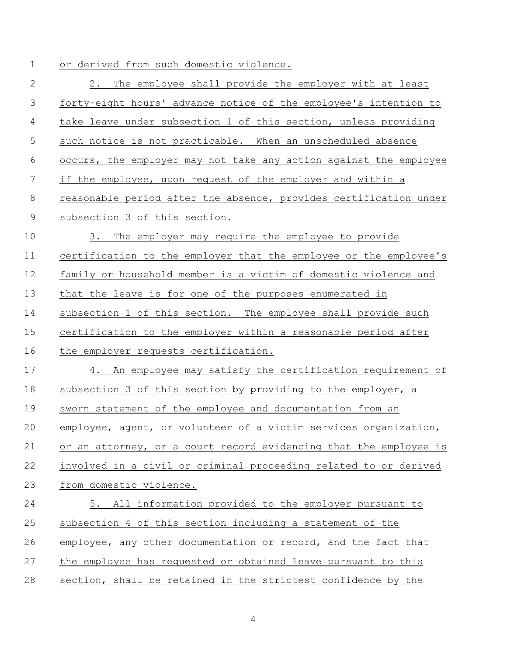# or derived from such domestic violence.

| $\mathbf{2}$ | The employee shall provide the employer with at least<br>2.       |
|--------------|-------------------------------------------------------------------|
| 3            | forty-eight hours' advance notice of the employee's intention to  |
| 4            | take leave under subsection 1 of this section, unless providing   |
| 5            | such notice is not practicable. When an unscheduled absence       |
| 6            | occurs, the employer may not take any action against the employee |
| 7            | if the employee, upon request of the employer and within a        |
| 8            | reasonable period after the absence, provides certification under |
| $\mathsf 9$  | subsection 3 of this section.                                     |
| 10           | 3. The employer may require the employee to provide               |
| 11           | certification to the employer that the employee or the employee's |
| 12           | family or household member is a victim of domestic violence and   |
| 13           | that the leave is for one of the purposes enumerated in           |
| 14           | subsection 1 of this section. The employee shall provide such     |
| 15           | certification to the employer within a reasonable period after    |
| 16           | the employer requests certification.                              |
| 17           | 4. An employee may satisfy the certification requirement of       |
| 18           | subsection 3 of this section by providing to the employer, a      |
| 19           | sworn statement of the employee and documentation from an         |
| 20           | employee, agent, or volunteer of a victim services organization,  |
| 21           | or an attorney, or a court record evidencing that the employee is |
| 22           | involved in a civil or criminal proceeding related to or derived  |
| 23           | from domestic violence.                                           |
| 24           | 5. All information provided to the employer pursuant to           |
| 25           | subsection 4 of this section including a statement of the         |
| 26           | employee, any other documentation or record, and the fact that    |
| 27           | the employee has requested or obtained leave pursuant to this     |
| 28           | section, shall be retained in the strictest confidence by the     |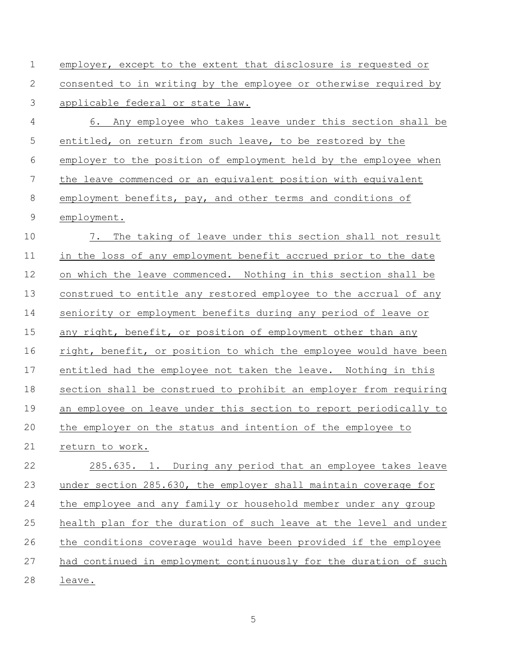employer, except to the extent that disclosure is requested or consented to in writing by the employee or otherwise required by applicable federal or state law. 6. Any employee who takes leave under this section shall be entitled, on return from such leave, to be restored by the employer to the position of employment held by the employee when the leave commenced or an equivalent position with equivalent employment benefits, pay, and other terms and conditions of employment. 7. The taking of leave under this section shall not result in the loss of any employment benefit accrued prior to the date on which the leave commenced. Nothing in this section shall be construed to entitle any restored employee to the accrual of any seniority or employment benefits during any period of leave or 15 any right, benefit, or position of employment other than any 16 right, benefit, or position to which the employee would have been entitled had the employee not taken the leave. Nothing in this section shall be construed to prohibit an employer from requiring an employee on leave under this section to report periodically to the employer on the status and intention of the employee to return to work. 285.635. 1. During any period that an employee takes leave under section 285.630, the employer shall maintain coverage for the employee and any family or household member under any group health plan for the duration of such leave at the level and under the conditions coverage would have been provided if the employee had continued in employment continuously for the duration of such leave.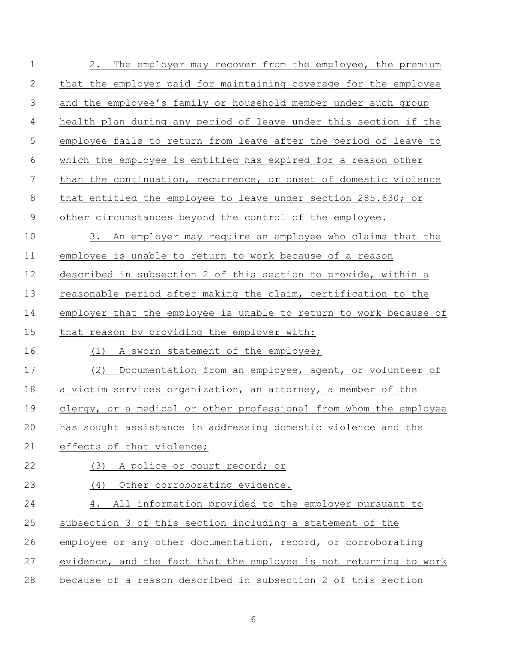| $\mathbf 1$ | The employer may recover from the employee, the premium<br>2.     |
|-------------|-------------------------------------------------------------------|
| 2           | that the employer paid for maintaining coverage for the employee  |
| 3           | and the employee's family or household member under such group    |
| 4           | health plan during any period of leave under this section if the  |
| 5           | employee fails to return from leave after the period of leave to  |
| 6           | which the employee is entitled has expired for a reason other     |
| 7           | than the continuation, recurrence, or onset of domestic violence  |
| 8           | that entitled the employee to leave under section 285.630; or     |
| 9           | other circumstances beyond the control of the employee.           |
| 10          | An employer may require an employee who claims that the<br>3.     |
| 11          | employee is unable to return to work because of a reason          |
| 12          | described in subsection 2 of this section to provide, within a    |
| 13          | reasonable period after making the claim, certification to the    |
| 14          | employer that the employee is unable to return to work because of |
| 15          | that reason by providing the employer with:                       |
| 16          | A sworn statement of the employee;<br>(1)                         |
| 17          | (2)<br>Documentation from an employee, agent, or volunteer of     |
| 18          | a victim services organization, an attorney, a member of the      |
| 19          | clergy, or a medical or other professional from whom the employee |
| 20          | has sought assistance in addressing domestic violence and the     |
| 21          | effects of that violence;                                         |
| 22          | (3) A police or court record; or                                  |
| 23          | (4) Other corroborating evidence.                                 |
| 24          | All information provided to the employer pursuant to<br>4.        |
| 25          | subsection 3 of this section including a statement of the         |
| 26          | employee or any other documentation, record, or corroborating     |
| 27          | evidence, and the fact that the employee is not returning to work |
| 28          | because of a reason described in subsection 2 of this section     |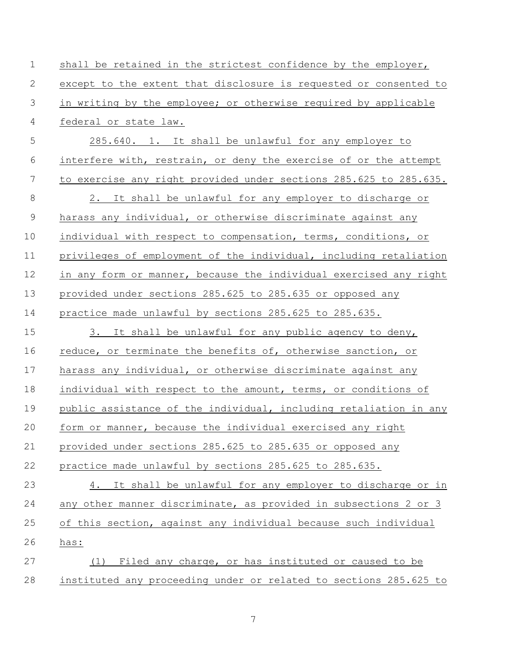| $\mathbf 1$    | shall be retained in the strictest confidence by the employer,    |
|----------------|-------------------------------------------------------------------|
| $\mathbf{2}$   | except to the extent that disclosure is requested or consented to |
| 3              | in writing by the employee; or otherwise required by applicable   |
| $\overline{4}$ | federal or state law.                                             |
| 5              | 285.640. 1. It shall be unlawful for any employer to              |
| 6              | interfere with, restrain, or deny the exercise of or the attempt  |
| $\overline{7}$ | to exercise any right provided under sections 285.625 to 285.635. |
| $\,8\,$        | 2. It shall be unlawful for any employer to discharge or          |
| $\mathcal{G}$  | harass any individual, or otherwise discriminate against any      |
| 10             | individual with respect to compensation, terms, conditions, or    |
| 11             | privileges of employment of the individual, including retaliation |
| 12             | in any form or manner, because the individual exercised any right |
| 13             | provided under sections 285.625 to 285.635 or opposed any         |
| 14             | practice made unlawful by sections 285.625 to 285.635.            |
| 15             | It shall be unlawful for any public agency to deny,<br>3.         |
| 16             | reduce, or terminate the benefits of, otherwise sanction, or      |
| 17             | harass any individual, or otherwise discriminate against any      |
| 18             | individual with respect to the amount, terms, or conditions of    |
| 19             | public assistance of the individual, including retaliation in any |
| 20             | form or manner, because the individual exercised any right        |
| 21             | provided under sections 285.625 to 285.635 or opposed any         |
| 22             | practice made unlawful by sections 285.625 to 285.635.            |
| 23             | It shall be unlawful for any employer to discharge or in<br>4.    |
| 24             | any other manner discriminate, as provided in subsections 2 or 3  |
| 25             | of this section, against any individual because such individual   |
| 26             | has:                                                              |
| 27             | Filed any charge, or has instituted or caused to be<br>(1)        |
| 28             | instituted any proceeding under or related to sections 285.625 to |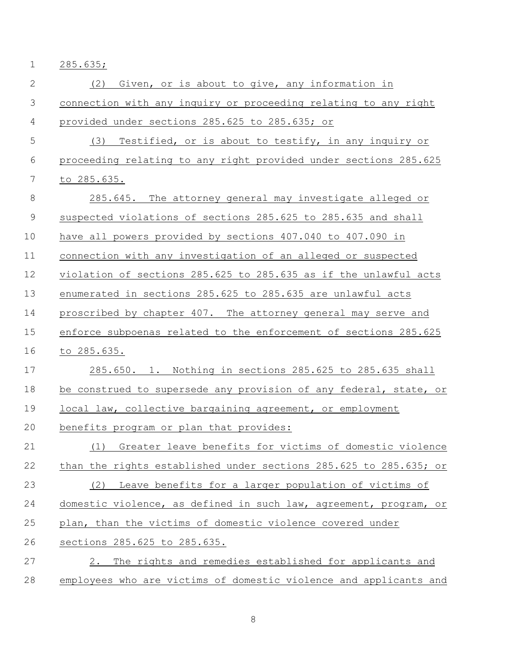285.635;

| 2           | Given, or is about to give, any information in<br>(2)             |
|-------------|-------------------------------------------------------------------|
| 3           | connection with any inquiry or proceeding relating to any right   |
| 4           | provided under sections 285.625 to 285.635; or                    |
| 5           | (3) Testified, or is about to testify, in any inquiry or          |
| 6           | proceeding relating to any right provided under sections 285.625  |
| 7           | to 285.635.                                                       |
| $8\,$       | 285.645. The attorney general may investigate alleged or          |
| $\mathsf 9$ | suspected violations of sections 285.625 to 285.635 and shall     |
| 10          | have all powers provided by sections 407.040 to 407.090 in        |
| 11          | connection with any investigation of an alleged or suspected      |
| 12          | violation of sections 285.625 to 285.635 as if the unlawful acts  |
| 13          | enumerated in sections 285.625 to 285.635 are unlawful acts       |
| 14          | proscribed by chapter 407. The attorney general may serve and     |
| 15          | enforce subpoenas related to the enforcement of sections 285.625  |
| 16          | to 285.635.                                                       |
| 17          | 285.650. 1. Nothing in sections 285.625 to 285.635 shall          |
| 18          | be construed to supersede any provision of any federal, state, or |
| 19          | local law, collective bargaining agreement, or employment         |
| 20          | benefits program or plan that provides:                           |
| 21          | (1) Greater leave benefits for victims of domestic violence       |
| 22          | than the rights established under sections 285.625 to 285.635; or |
| 23          | Leave benefits for a larger population of victims of<br>(2)       |
| 24          | domestic violence, as defined in such law, agreement, program, or |
| 25          | plan, than the victims of domestic violence covered under         |
| 26          | sections 285.625 to 285.635.                                      |
| 27          | The rights and remedies established for applicants and<br>2.      |
| 28          | employees who are victims of domestic violence and applicants and |